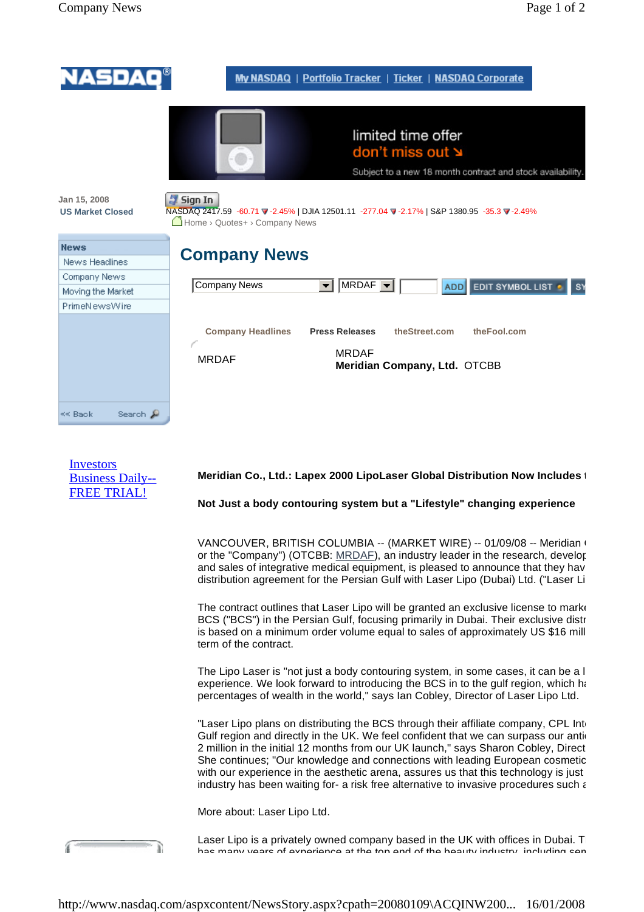| NASDAO®                                 | My NASDAQ   Portfolio Tracker   Ticker   NASDAQ Corporate                                                                                                                                                       |
|-----------------------------------------|-----------------------------------------------------------------------------------------------------------------------------------------------------------------------------------------------------------------|
| Jan 15, 2008<br><b>US Market Closed</b> | limited time offer<br>don't miss out ≥<br>Subject to a new 18 month contract and stock availability.<br>Sign In<br>NASDAQ 2417.59 -60.71 V -2.45%   DJIA 12501.11 -277.04 V -2.17%   S&P 1380.95 -35.3 V -2.49% |
|                                         | Home › Quotes+ › Company News                                                                                                                                                                                   |
| <b>News</b>                             | <b>Company News</b>                                                                                                                                                                                             |
| News Headlines                          |                                                                                                                                                                                                                 |
| Company News                            | <b>Company News</b><br>MRDAF<br><b>EDIT SYMBOL LIST</b><br>$\blacktriangledown$<br>ADD<br>S١                                                                                                                    |
| Moving the Market                       |                                                                                                                                                                                                                 |
| PrimeNewsWire                           |                                                                                                                                                                                                                 |
|                                         | theStreet.com<br><b>Press Releases</b><br>theFool.com<br><b>Company Headlines</b>                                                                                                                               |
|                                         | <b>MRDAF</b>                                                                                                                                                                                                    |
|                                         | <b>MRDAF</b><br>Meridian Company, Ltd. OTCBB                                                                                                                                                                    |
|                                         |                                                                                                                                                                                                                 |
|                                         |                                                                                                                                                                                                                 |
| Search &<br><< Back                     |                                                                                                                                                                                                                 |

| <b>Investors</b>        |
|-------------------------|
| <b>Business Daily--</b> |
| <b>FREE TRIAL!</b>      |

á

## **Meridian Co., Ltd.: Lapex 2000 LipoLaser Global Distribution Now Includes 1**

**Not Just a body contouring system but a "Lifestyle" changing experience** 

VANCOUVER, BRITISH COLUMBIA -- (MARKET WIRE) -- 01/09/08 -- Meridian ( or the "Company") (OTCBB: MRDAF), an industry leader in the research, development, manufacturing, manufacturing and sales of integrative medical equipment, is pleased to announce that they hav distribution agreement for the Persian Gulf with Laser Lipo (Dubai) Ltd. ("Laser Li

The contract outlines that Laser Lipo will be granted an exclusive license to market BCS ("BCS") in the Persian Gulf, focusing primarily in Dubai. Their exclusive distributors is based on a minimum order volume equal to sales of approximately US \$16 mill term of the contract.

The Lipo Laser is "not just a body contouring system, in some cases, it can be a  $l$ experience. We look forward to introducing the BCS in to the gulf region, which has percentages of wealth in the world," says Ian Cobley, Director of Laser Lipo Ltd.

"Laser Lipo plans on distributing the BCS through their affiliate company, CPL International L Gulf region and directly in the UK. We feel confident that we can surpass our antid 2 million in the initial 12 months from our UK launch," says Sharon Cobley, Direct She continues; "Our knowledge and connections with leading European cosmetic with our experience in the aesthetic arena, assures us that this technology is just industry has been waiting for- a risk free alternative to invasive procedures such  $\epsilon$ 

More about: Laser Lipo Ltd.

Laser Lipo is a privately owned company based in the UK with offices in Dubai. The management of management te has many years of experience at the top end of the beauty industry, including sen